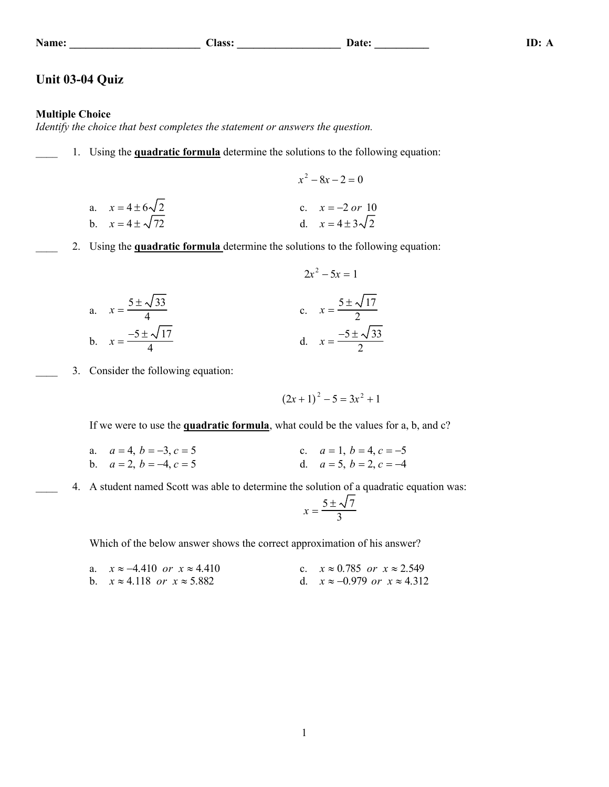### **Name: \_\_\_\_\_\_\_\_\_\_\_\_\_\_\_\_\_\_\_\_\_\_\_\_ Class: \_\_\_\_\_\_\_\_\_\_\_\_\_\_\_\_\_\_\_ Date: \_\_\_\_\_\_\_\_\_\_ ID: A**

# **Unit 03-04 Quiz**

## **Multiple Choice**

*Identify the choice that best completes the statement or answers the question.*

- \_\_\_\_ 1. Using the **quadratic formula** determine the solutions to the following equation:
	- $x^2 8x 2 = 0$ a.  $x = 4 \pm 6\sqrt{2}$ <br>
	b  $x = 4 + \sqrt{72}$ <br>
	c.  $x = -2 \text{ or } 10$ <br>
	d  $x = 4 + 3\sqrt{2}$ d.  $x = 4 + 3\sqrt{2}$
- \_\_\_\_ 2. Using the **quadratic formula** determine the solutions to the following equation:

a. 
$$
x = \frac{5 \pm \sqrt{33}}{4}
$$
  
\nb.  $x = \frac{-5 \pm \sqrt{17}}{4}$   
\nc.  $x = \frac{5 \pm \sqrt{17}}{2}$   
\nd.  $x = \frac{-5 \pm \sqrt{33}}{2}$ 

3. Consider the following equation:

$$
(2x+1)^2 - 5 = 3x^2 + 1
$$

If we were to use the **quadratic formula**, what could be the values for a, b, and c?

a.  $a = 4, b = -3, c = 5$  c.  $a = 1, b = 4, c = -5$ b.  $a = 2, b = -4, c = 5$  d.  $a = 5, b = 2, c = -4$ 

4. A student named Scott was able to determine the solution of a quadratic equation was:

$$
x = \frac{5 \pm \sqrt{7}}{3}
$$

Which of the below answer shows the correct approximation of his answer?

a.  $x \approx -4.410$  *or*  $x \approx 4.410$  c.  $x \approx 0.785$  *or*  $x \approx 2.549$ b.  $x \approx 4.118$  *or*  $x \approx 5.882$  d.  $x \approx -0.979$  *or*  $x \approx 4.312$